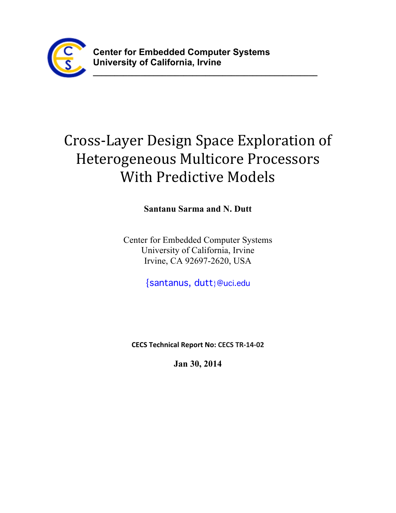

# Cross-Layer Design Space Exploration of Heterogeneous Multicore Processors With Predictive Models

**\_\_\_\_\_\_\_\_\_\_\_\_\_\_\_\_\_\_\_\_\_\_\_\_\_\_\_\_\_\_\_\_\_\_\_\_\_\_\_\_\_\_\_\_\_\_\_\_\_\_\_\_**

**Santanu Sarma and N. Dutt**

Center for Embedded Computer Systems University of California, Irvine Irvine, CA 92697-2620, USA

{santanus, dutt}@uci.edu

**CECS Technical Report No: CECS TR-14-02**

**Jan 30, 2014**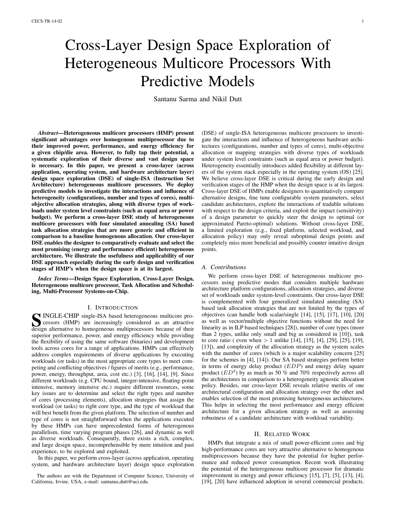# Cross-Layer Design Space Exploration of Heterogeneous Multicore Processors With Predictive Models

Santanu Sarma and Nikil Dutt

*Abstract*—Heterogeneous multicore processors (HMP) present significant advantages over homogenous multiprocessor due to their improved power, performance, and energy efficiency for a given chip/die area. However, to fully tap their potential, a systematic exploration of their diverse and vast design space is necessary. In this paper, we present a cross-layer (across application, operating system, and hardware architecture layer) design space exploration (DSE) of single-ISA (Instruction Set Architecture) heterogeneous multicore processors. We deploy predictive models to investigate the interactions and influence of heterogeneity (configurations, number and types of cores), multiobjective allocation strategies, along with diverse types of workloads under system level constraints (such as equal area or power budget). We perform a cross-layer DSE study of heterogeneous multicore processors with four simulated annealing (SA) based task allocation strategies that are more generic and efficient in comparison to a baseline homogenous allocation. Our cross-layer DSE enables the designer to comparatively evaluate and select the most promising (energy and performance efficient) heterogeneous architecture. We illustrate the usefulness and applicability of our DSE approach especially during the early design and verification stages of HMP's when the design space is at its largest.

*Index Terms*—Design Space Exploration, Cross-Layer Design, Heterogeneous multicore processor, Task Allocation and Scheduling, Multi-Processor Systems-on-Chip.

#### I. INTRODUCTION

SUINGLE-CHIP single-ISA based heterogeneous multicore pro-<br>cessors (HMP) are increasingly considered as an attractive<br>design alternative to homogeneous multiprocessors because of their cessors (HMP) are increasingly considered as an attractive design alternative to homogeneous multiprocessors because of their superior performance, power, and energy efficiency while providing the flexibility of using the same software (binaries) and development tools across cores for a range of applications. HMPs can effectively address complex requirements of diverse applications by executing workloads (or tasks) in the most appropriate core types to meet competing and conflicting objectives / figures of merits (e.g., performance, power, energy, throughput, area, cost etc.) [\[3\]](#page-5-0), [\[16\]](#page-6-0), [\[14\]](#page-6-1), [\[9\]](#page-6-2). Since different workloads (e.g. CPU bound, integer-intensive, floating-point intensive, memory intensive etc.) require different resources, some key issues are to determine and select the right types and number of cores (processing elements), allocation strategies that assign the workload (or tasks) to right core type, and the type of workload that will best benefit from the given platform. The selection of number and type of cores is not straightforward when the applications executed by these HMPs can have unprecedented forms of heterogenous parallelism, time varying program phases [\[26\]](#page-6-3), and dynamic as well as diverse workloads. Consequently, there exists a rich, complex, and large design space, incomprehensible by mere intuition and past experience, to be explored and exploited.

In this paper, we perform cross-layer (across application, operating system, and hardware architecture layer) design space exploration

The authors are with the Department of Computer Science, University of California, Irvine, USA, e-mail: [santanus,dutt@uci.edu.](http://{santanus,dutt}@uci.edu)

(DSE) of single-ISA heterogeneous multicore processors to investigate the interactions and influence of heterogeneous hardware architectures (configurations, number and types of cores), multi-objective allocation or mapping strategies with diverse types of workloads under system level constraints (such as equal area or power budget). Heterogeneity essentially introduces added flexibility at different layers of the system stack especially in the operating system (OS) [\[25\]](#page-6-4). We believe cross-layer DSE is critical during the early design and verification stages of the HMP when the design space is at its largest. Cross-layer DSE of HMPs enable designers to quantitatively compare alternative designs, fine tune configurable system parameters, select candidate architectures, explore the interactions of tradable solutions with respect to the design criteria, and exploit the impact (sensitivity) of a design parameter to quickly steer the design to optimal (or approximated Pareto-optimal) solutions. Without cross-layer DSE, a limited exploration (e.g., fixed platform, selected workload, and allocation policy) may only reveal suboptimal design points and completely miss more beneficial and possibly counter intuitive design points.

# *A. Contributions*

We perform cross-layer DSE of heterogeneous multicore processors using predictive modes that considers multiple hardware architecture platform configurations, allocation strategies, and diverse set of workloads under system-level constraints. Our cross-layer DSE is complemented with four generalized simulated annealing (SA) based task allocation strategies that are not limited by the types of objectives (can handle both scalar/single [\[14\]](#page-6-1), [\[15\]](#page-6-5), [\[17\]](#page-6-6), [\[10\]](#page-6-7), [\[20\]](#page-6-8) as well as vector/multiple objective functions without the need for linearity as in ILP based techniques [\[28\]](#page-7-0)), number of core types (more than 2 types, unlike only small and big as considered in [\[10\]](#page-6-7)), task to core ratio ( even when > 1 unlike [\[14\]](#page-6-1), [\[15\]](#page-6-5), [\[4\]](#page-5-1), [\[29\]](#page-7-1), [\[25\]](#page-6-4), [\[19\]](#page-6-9), [\[13\]](#page-6-10)), and complexity of the allocation strategy as the system scales with the number of cores (which is a major scalability concern [\[25\]](#page-6-4) for the schemes in [\[4\]](#page-5-1), [\[14\]](#page-6-1)). Our SA based strategies perform better in terms of energy delay product (EDP) and energy delay square product  $(ED^2)$  by as much as 50 % and 70% respectively across all the architectures in comparison to a heterogeneity agnostic allocation policy. Besides, our cross-layer DSE reveals relative merits of one architectural configuration and allocation strategy over the other and enables selection of the most promising heterogeneous architectures. This helps in selecting the most performance and energy efficient architecture for a given allocation strategy as well as assessing robustness of a candidate architecture with workload variability.

# II. RELATED WORK

HMPs that integrate a mix of small power-efficient cores and big high-performance cores are very attractive alternative to homogenous multiprocessors because they have the potential for higher performance and reduced power consumption. Recent work illustrating the potential of the heterogeneous multicore processor for dramatic improvement in energy and power efficiency [\[15\]](#page-6-5), [\[7\]](#page-6-11), [\[5\]](#page-6-12), [\[13\]](#page-6-10), [\[4\]](#page-5-1), [\[19\]](#page-6-9), [\[20\]](#page-6-8) have influenced adoption in several commercial products.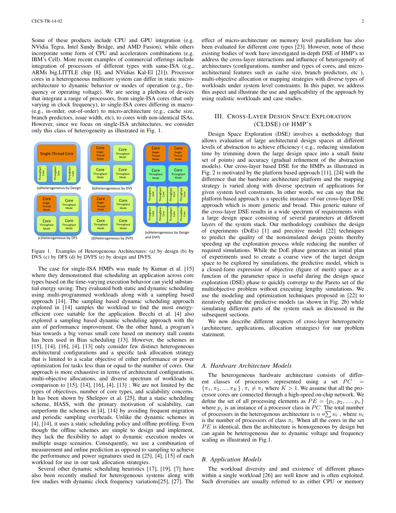Some of these products include CPU and GPU integration (e.g. NVidia Tegra, Intel Sandy Bridge, and AMD Fusion), while others incorporate some form of CPU and accelerators combinations (e.g. IBM's Cell). More recent examples of commercial offerings include integration of processors of different types with same-ISA (e.g., ARMs big.LITTLE chip [\[8\]](#page-6-13), and NVidias Kal-El [\[21\]](#page-6-14)). Processor cores in a heterogeneous multicore system can differ in static microarchitecture to dynamic behavior or modes of operation (e.g., frequency or operating voltage). We are seeing a plethora of devices that integrate a range of processors, from single-ISA cores (that only varying in clock frequency), to single-ISA cores differing in macro- (e.g., in-order, out-of-order) to micro-architecture (e.g., cache size, branch predictors, issue width, etc), to cores with non-identical ISAs. However, since we focus on single-ISA architectures, we consider only this class of heterogeneity as illustrated in Fig. [1.](#page-2-0)



<span id="page-2-0"></span>Figure 1. Examples of Heterogeneous Architectures: (a) by design (b) by DVS (c) by DFS (d) by DVFS (e) by design and DVFS.

The case for single-ISA HMPs was made by Kumar et al. [\[15\]](#page-6-5) where they demonstrated that scheduling an application across core types based on the time-varying execution behavior can yield substantial energy saving. They evaluated both static and dynamic scheduling using multi-programmed workloads along with a sampling based approach [\[14\]](#page-6-1). The sampling based dynamic scheduling approach explored in [\[14\]](#page-6-1) samples the workload to find the most energyefficient core suitable for the application. Becchi et al. [\[4\]](#page-5-1) also explored a sampling based dynamic scheduling approach with the aim of performance improvement. On the other hand, a program's bias towards a big versus small core based on memory stall counts has been used in Bias scheduling [\[13\]](#page-6-10). However, the schemes in  $[15]$ ,  $[14]$ ,  $[16]$ ,  $[4]$ ,  $[13]$  only consider few distinct heterogeneous architectural configurations and a specific task allocation strategy that is limited to a scalar objective of either performance or power optimization for tasks less than or equal to the number of cores. Our approach is more exhaustive in terms of architectural configurations, multi-objective allocations, and diverse spectrum of workloads in comparison to [\[15\]](#page-6-5), [\[14\]](#page-6-1), [\[16\]](#page-6-0), [\[4\]](#page-5-1), [\[13\]](#page-6-10) ; We are not limited by the types of objectives, number of core types, and scalability concerns. It has been shown by Shelepov et al. [\[25\]](#page-6-4), that a static scheduling scheme, HASS, with the primary motivation of scalability, can outperform the schemes in [\[4\]](#page-5-1), [\[14\]](#page-6-1) by avoiding frequent migration and periodic sampling overheads. Unlike the dynamic schemes in [\[4\]](#page-5-1), [\[14\]](#page-6-1), it uses a static scheduling policy and offline profiling. Even though the offline schemes are simple to design and implement, they lack the flexibility to adapt to dynamic execution modes or multiple usage scenarios. Consequently, we use a combination of measurement and online prediction as opposed to sampling to achieve the performance and power signatures used in [\[25\]](#page-6-4), [\[4\]](#page-5-1), [\[15\]](#page-6-5) of each workload for use in our task allocation strategies.

Several other dynamic scheduling heuristics [\[17\]](#page-6-6), [\[19\]](#page-6-9), [\[7\]](#page-6-11) have also been recently studied for heterogeneous systems along with few studies with dynamic clock frequency variations[\[25\]](#page-6-4), [\[27\]](#page-6-15). The effect of micro-architecture on memory level parallelism has also been evaluated for different core types [\[23\]](#page-6-16). However, none of these existing bodies of work have investigated in-depth DSE of HMP's to address the cross-layer interactions and influence of heterogeneity of architectures (configurations, number and types of cores, and microarchitectural features such as cache size, branch predictors, etc ), multi-objective allocation or mapping strategies with diverse types of workloads under system level constraints. In this paper, we address this aspect and illustrate the use and applicability of the approach by using realistic workloads and case studies.

# III. CROSS-LAYER DESIGN SPACE EXPLORATION (CLDSE) OF HMP'S

Design Space Exploration (DSE) involves a methodology that allows evaluation of large architectural design spaces at different levels of abstraction to achieve efficiency ( e.g., reducing simulation time by trimming down the large design space into a small finite set of points) and accuracy (gradual refinement of the abstraction models). Our cross-layer based DSE for the HMPs as illustrated in Fig. [2](#page-3-0) is motivated by the platform based approach [\[11\]](#page-6-17), [\[24\]](#page-6-18) with the difference that the hardware architecture platform and the mapping strategy is varied along with diverse spectrum of applications for given system level constraints. In other words, we can say that the platform based approach is a specific instance of our cross-layer DSE approach which is more generic and broad. This generic nature of the cross-layer DSE results in a wide spectrum of requirements with a large design space consisting of several parameters at different layers of the system stack. Our methodology combines the design of experiments (DoEs) [\[1\]](#page-5-2) and precitive model [\[22\]](#page-6-19) techniques to predict the quality of the nonsimulated design points thereby speeding up the exploration process while reducing the number of required simulations. While the DoE phase generates an initial plan of experiments used to create a coarse view of the target design space to be explored by simulations, the predictive model, which is a closed-form expression of objective (figure of merit) space as a function of the parameter space is useful during the design space exploration (DSE) phase to quickly converge to the Pareto set of the multiobjective problem without executing lengthy simulations. We use the modeling and optimization techniques proposed in [\[22\]](#page-6-19) to iteratively update the predictive models (as shown in Fig. [2b\)](#page-3-1) while simulating different parts of the system stack as discussed in the subsequent sections.

We now describe different aspects of cross-layer heterogeneity (architecture, applications, allocation strategies) for our problem statement.

#### *A. Hardware Architecture Models*

The heterogeneous hardware architecture consists of different classes of processors represented using a set  $PC =$  ${\lbrace \pi_1, \pi_2, ..., \pi_K \rbrace}$ ,  ${\pi_i \neq \pi_j}$  where  $K > 1$ . We assume that all the processor cores are connected through a high-speed on-chip network. We define the set of all processing elements as  $PE = \{p_1, p_2, ..., p_n\}$ where  $p_j$  is an instance of a processor class in PC. The total number of processors in the heterogenous architecture is  $n = \sum n_l$ , where  $n_l$ is the number of processors of class  $\pi_l$ . When all the cores in the set  $PE$  is identical, then the architecture is homogeneous by design but can again be heterogeneous due to dynamic voltage and frequency scaling as illustrated in Fig[.1.](#page-2-0)

# *B. Application Models*

The workload diversity and and existence of different phases within a single workload [\[26\]](#page-6-3) are well know and is often exploited. Such diversities are usually referred to as either CPU or memory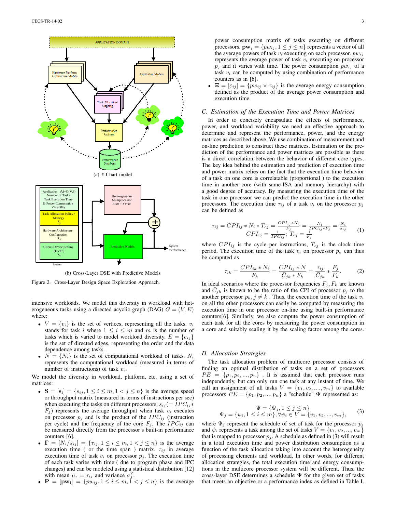

<span id="page-3-1"></span><span id="page-3-0"></span>

Figure 2. Cross-Layer Design Space Exploration Approach.

intensive workloads. We model this diversity in workload with heterogeneous tasks using a directed acyclic graph (DAG)  $G = (V, E)$ where:

- $V = \{v_i\}$  is the set of vertices, representing all the tasks.  $v_i$ stands for task i where  $1 \leq i \leq m$  and m is the number of tasks which is varied to model workload diversity.  $E = \{e_{ij}\}\$ is the set of directed edges, representing the order and the data dependence among tasks.
- $N = \{N_i\}$  is the set of computational workload of tasks.  $N_i$ represents the computational workload (measured in terms of number of instructions) of task  $v_i$ .

We model the diversity in workload, platform, etc. using a set of matrices:

- $S = [s_i] = \{s_{ij}, 1 \le i \le m, 1 < j \le n\}$  is the average speed or throughput matrix (measured in terms of instructions per sec) when executing the tasks on different processors.  $s_{ij} (= IPC_{ij} *$  $F_i$ ) represents the average throughput when task  $v_i$  executes on processor  $p_j$  and is the product of the  $IPC_{ij}$  (instruction per cycle) and the frequency of the core  $F_j$ . The  $IPC_{ij}$  can be measured directly from the processor's built-in performance counters [\[6\]](#page-6-20).
- $\Gamma = [N_i/s_{ij}] = {\tau_{ij}, 1 \le i \le m, 1 < j \le n}$  is the average execution time ( or the time span ) matrix.  $\tau_{ij}$  in average execution time of task  $v_i$  on processor  $p_j$ . The execution time of each task varies with time ( due to program phase and IPC changes) and can be modeled using a statistical distribution [\[12\]](#page-6-21) with mean  $\mu_{\tau} = \tau_{ij}$  and variance  $\sigma_j^2$ .
- $P = [pw_i] = \{pw_{ij}, 1 \le i \le m, 1 \le j \le n\}$  is the average

power consumption matrix of tasks executing on different processors.  $\mathbf{pw}_i = \{pw_{ij}, 1 \leq j \leq n\}$  represents a vector of all the average powers of task  $v_i$  executing on each processor.  $pw_{ij}$ represents the average power of task  $v_i$  executing on processor  $p_i$  and it varies with time. The power consumption  $pw_{ij}$  of a task  $v_i$  can be computed by using combination of performance counters as in [\[6\]](#page-6-20).

 $\mathbf{\Xi} = [\varepsilon_{ij}] = \{p w_{ij} \times \tau_{ij}\}\$ is the average energy consumption defined as the product of the average power consumption and execution time.

#### *C. Estimation of the Execution Time and Power Matrices*

In order to concisely encapsulate the effects of performance, power, and workload variability we need an effective approach to determine and represent the performance, power, and the energy matrices as described above. We use combination of measurement and on-line prediction to construct these matrices. Estimation or the prediction of the performance and power matrices are possible as there is a direct correlation between the behavior of different core types. The key idea behind the estimation and prediction of execution time and power matrix relies on the fact that the execution time behavior of a task on one core is correlatable (proportional ) to the execution time in another core (with same-ISA and memory hierarchy) with a good degree of accuracy. By measuring the execution time of the task in one processor we can predict the execution time in the other processors. The execution time  $\tau_{ij}$  of a task  $v_i$  on the processor  $p_j$ can be defined as

$$
\tau_{ij} = CPI_{ij} * N_i * T_{cj} = \frac{CPI_{ij} * N_i}{F_j} = \frac{N_i}{PC_{ij} * F_j} = \frac{N_i}{s_{ij}} \qquad (1)
$$

$$
CPI_{ij} = \frac{1}{TPC_{ij}}; T_{cj} = \frac{1}{F_j}
$$

where  $CPI_{ij}$  is the cycle per instructions,  $T_{cj}$  is the clock time period. The execution time of the task  $v_i$  on processor  $p_k$  can thus be computed as

$$
\tau_{ik} = \frac{CPI_{ik} * N_i}{F_k} = \frac{CPI_{ij} * N}{\overline{C}_{jk} * F_k} = \frac{\tau_{ij}}{\overline{C}_{jk}} * \frac{F_j}{F_k}.
$$
 (2)

In ideal scenarios where the processor frequencies  $F_j, F_k$  are known and  $\overline{C}_{jk}$  is known to be the ratio of the CPI of processor  $p_j$  to the another processor  $p_k$ ,  $j \neq k$ . Thus, the execution time of the task  $v_i$ on all the other processors can easily be computed by measuring the execution time in one processor on-line using built-in performance counters[\[6\]](#page-6-20). Similarly, we also compute the power consumption of each task for all the cores by measuring the power consumption in a core and suitably scaling it by the scaling factor among the cores.

#### *D. Allocation Strategies*

The task allocation problem of multicore processor consists of finding an optimal distribution of tasks on a set of processors  $PE = \{p_1, p_2, ..., p_n\}$ . It is assumed that each processor runs independently, but can only run one task at any instant of time. We call an assignment of all tasks  $V = \{v_1, v_2, \dots, v_m\}$  to available processors  $\overline{P}E = \{p_1, p_2, ..., p_n\}$  a "schedule"  $\Psi$  represented as:

<span id="page-3-2"></span>
$$
\Psi = \{\Psi_j, 1 \le j \le n\}
$$
  
\n
$$
\Psi_j = \{\psi_i, 1 \le i \le m\}, \forall \psi_i \in V = \{v_1, v_2, ..., v_m\},
$$
 (3)

where  $\Psi_j$  represent the schedule of set of task for the processor  $p_j$ and  $\psi_i$  represents a task among the set of tasks  $V = \{v_1, v_2, ..., v_m\}$ that is mapped to processor  $p_j$ . A schedule as defined in [\(3\)](#page-3-2) will result in a total execution time and power distribution consumption as a function of the task allocation taking into account the heterogeneity of processing elements and workload. In other words, for different allocation strategies, the total execution time and energy consumptions in the multicore processor system will be different. Thus, the cross-layer DSE determines a schedule  $\Psi$  for the given set of tasks that meets an objective or a performance index as defined in Table [I.](#page-4-0)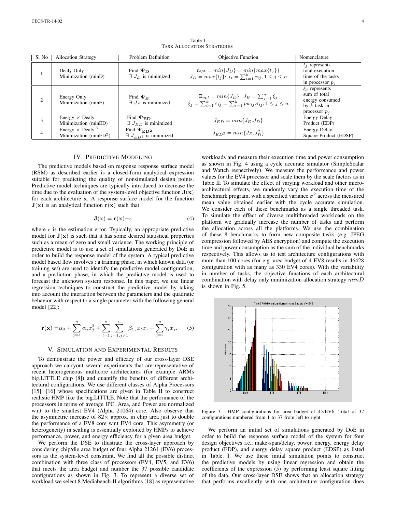<span id="page-4-0"></span>

| Sl No          | <b>Allocation Strategy</b>                                               | Problem Definition                                   | Objective Function                                                                                                                                      | Nomenclature                                                                               |
|----------------|--------------------------------------------------------------------------|------------------------------------------------------|---------------------------------------------------------------------------------------------------------------------------------------------------------|--------------------------------------------------------------------------------------------|
|                | Dealy Only<br>Minimization (minD)                                        | Find $\Psi_D$<br>$\exists J_D$ is minimized          | $t_{opt} = min\{J_D\} = min\{max\{t_i\}\}\$<br>$J_D = max\{t_j\}; t_i = \sum_{i=1}^k \tau_{ij}, 1 \leq j \leq n$                                        | $t_i$ represents<br>total execution<br>time of the tasks<br>in processor $p_i$             |
| $\overline{c}$ | Energy Only<br>Minimization (minE)                                       | Find $\Psi_{\rm E}$<br>$\exists J_E$ is minimized    | $E_{opt} = min\{J_E\}; J_E = \sum_{i=1}^n \xi_i$<br>$\xi_i = \sum_{i=1}^k \varepsilon_{ij} = \sum_{i=1}^k p w_{ij} \cdot \tau_{ij}$ ; $1 \leq j \leq n$ | $\xi_i$ represents<br>sum of total<br>energy consumed<br>by $k$ task in<br>processor $p_i$ |
| 3              | Energy $\times$ Dealy<br>Minimization (minED)                            | Find $\Psi_{ED}$<br>$\exists J_{ED}$ is minimized    | $J_{ED} = min\{J_E, J_D\}$                                                                                                                              | <b>Energy Delay</b><br>Product (EDP)                                                       |
| 4              | Energy $\times$ Dealy <sup>2</sup><br>Minimization (minED <sup>2</sup> ) | Find $\Psi_{ED^2}$<br>$\exists J_{ED2}$ is minimized | $J_{ED^2} = min\{J_E. J_D^2\}$                                                                                                                          | <b>Energy Delay</b><br>Square Product (EDSP)                                               |

Table I TASK ALLOCATION STRATEGIES

# IV. PREDICTIVE MODELING

The predictive models based on response response surface model (RSM) as described earlier is a closed-form analytical expression suitable for predicting the quality of nonsimulated design points. Predictive model techniques are typically introduced to decrease the time due to the evaluation of the system-level objective function  $J(x)$ for each architecture x. A response surface model for the function  $J(x)$  is an analytical function  $r(x)$  such that

$$
\mathbf{J}(\mathbf{x}) = \mathbf{r}(\mathbf{x}) + \epsilon \tag{4}
$$

where  $\epsilon$  is the estimation error. Typically, an appropriate predictive model for  $J(x)$  is such that it has some desired statistical properties such as a mean of zero and small variance. The working principle of predictive model is to use a set of simulations generated by DoE in order to build the response model of the system. A typical predictive model based flow involves : a training phase, in which known data (or training set) are used to identify the predictive model configuration; and a prediction phase, in which the predictive model is used to forecast the unknown system response. In this paper, we use linear regression techniques to construct the predictive model by taking into account the interaction between the parameters and the quadratic behavior with respect to a single parameter with the following general model [\[22\]](#page-6-19):

<span id="page-4-2"></span>
$$
\mathbf{r}(\mathbf{x}) = \alpha_0 + \sum_{j=1}^n \alpha_j x_j^2 + \sum_{l=1}^n \sum_{j=1, j \neq 1}^n \beta_{l,j} x_l x_j + \sum_{j=1}^n \gamma_j x_j.
$$
 (5)

#### V. SIMULATION AND EXPERIMENTAL RESULTS

To demonstrate the power and efficacy of our cross-layer DSE approach we carryout several experiments that are representative of recent heterogeneous multicore architectures (for example ARMs big.LITTLE chip [\[8\]](#page-6-13)) and quantify the benefits of different architectural configurations. We use different classes of Alpha Processors [\[15\]](#page-6-5), [\[16\]](#page-6-0) whose specifications are given in Table [II](#page-5-3) to construct realistic HMP like the big.LITTLE. Note that the performance of the processors in terms of average IPC, Area, and Power are normalized w.r.t to the smallest EV4 (Alpha 21064) core. Also observe that the asymmetric increase of  $82 \times$  approx. in chip area just to double the performance of a EV8 core w.r.t EV4 core. This asymmetry (or heterogeneity) in scaling is essentially exploited by HMPs to achieve performance, power, and energy efficiency for a given area budget.

We perform the DSE to illustrate the cross-layer approach by considering chip/die area budget of four Alpha 21264 (EV6) processors as the system-level constraint. We find all the possible distinct combination with three class of processors (EV4, EV5, and EV6) that meets the area budget and number the 37 possible candidate configurations as shown in Fig. [3.](#page-4-1) To represent a diverse set of workload we select 8 Mediabench-II algorithms [\[18\]](#page-6-22) as representative

workloads and measure their execution time and power consumption as shown in Fig. [4](#page-5-4) using a cycle accurate simulator (SimpleScalar and Wattch respectively). We measure the performance and power values for the EV4 processor and scale them by the scale factors as in Table [II.](#page-5-3) To simulate the effect of varying workload and other microarchitectural effects, we randomly vary the execution time of the benchmark program, with a specified variance  $\sigma^2$  across the measured mean value obtained earlier with the cycle accurate simulation. We consider each of these benchmarks as a single threaded task. To simulate the effect of diverse multithreaded workloads on the platform we gradually increase the number of tasks and perform the allocation across all the platforms. We use the combination of these 8 benchmarks to form new composite tasks (e.g. JPEG compression followed by AES encryption) and compute the execution time and power consumption as the sum of the individual benchmarks respectively. This allows us to test architecture configurations with more than 100 cores (for e.g. area budget of 4 EV8 results in 46428 configuration with as many as 330 EV4 cores). With the variability in number of tasks, the objective functions of each architectural combination with delay only minimization allocation strategy  $minD$ is shown in Fig. [5.](#page-5-5)



<span id="page-4-1"></span>Figure 3. HMP configurations for area budget of 4×EV6. Total of 37 configurations numbered from 1 to 37 from left to right.

We perform an initial set of simulations generated by DoE in order to build the response surface model of the system for four design objectives i.e., make-span/delay, power, energy, energy delay product (EDP), and energy delay square product (EDSP) as listed in Table. [I.](#page-4-0) We use these initial simulation points to construct the predictive models by using linear regression and obtain the coefficients of the expression [\(5\)](#page-4-2) by performing least square fitting of the data. Our cross-layer DSE shows that an allocation strategy that performs excellently with one architecture configuration does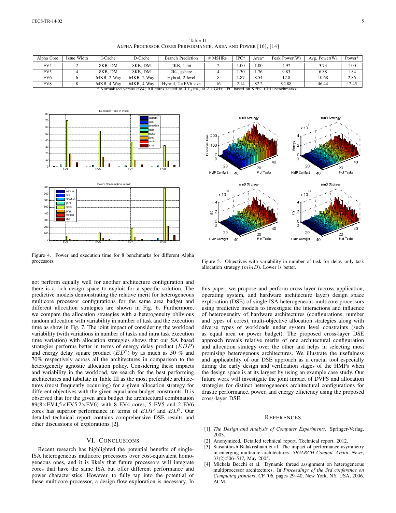<span id="page-5-3"></span>

| Alpha Core                                                                                              | Issue Width | 1-Cache     | D-Cache     | <b>Branch Prediction</b>    | # MSHRs | $_{\rm IPC^*}$ | Area* | Peak Power(W) | Avg. Power $(W)$ | Power* |
|---------------------------------------------------------------------------------------------------------|-------------|-------------|-------------|-----------------------------|---------|----------------|-------|---------------|------------------|--------|
| EV4                                                                                                     |             | 8KB. DM     | 8KB, DM     | $2KB. 1-bit$                |         | .00            | .00.  | 4.97          | 3.73             | 1.00   |
| EV <sub>5</sub>                                                                                         |             | 8KB. DM     | 8KB, DM     | $2K$ -, gshare              |         | .30            | . 76  | 9.83          | 6.88             | 1.84   |
| EV <sub>6</sub>                                                                                         |             | 64KB, 2 Way | 64KB, 2 Way | Hybrid, 2 level             |         | 1.87           | 8.54  | 17.8          | 10.68            | 2.86   |
| EV8                                                                                                     |             | 64KB, 4 Way | 64KB, 4 Way | Hybrid, $2 \times$ EV6 size | 16      | 2.14           | 82.2  | 92.88         | 46.44            | 12.45  |
| * Normalized versus EV4: All cores scaled to 0.1 $\mu$ m, at 2.1 GHz: IPC based on SPEC CPU benchmarks: |             |             |             |                             |         |                |       |               |                  |        |



<span id="page-5-4"></span>Figure 4. Power and execution time for 8 benchmarks for different Alpha processors.

not perform equally well for another architecture configuration and there is a rich design space to exploit for a specific solution. The predictive models demonstrating the relative merit for heterogeneous multicore processor configurations for the same area budget and different allocation strategies are shown in Fig. [6.](#page-6-23) Furthermore, we compare the allocation strategies with a heterogeneity oblivious random allocation with variability in number of task and the execution time as show in Fig. [7.](#page-6-24) The joint impact of considering the workload variability (with variations in number of tasks and intra task execution time variation) with allocation strategies shows that our SA based strategies performs better in terms of energy delay product (EDP) and energy delay square product  $(ED^2)$  by as much as 50 % and 70% respectively across all the architectures in comparison to the heterogeneity agnostic allocation policy. Considering these impacts and variability in the workload, we search for the best performing architectures and tabulate in Table [III](#page-6-25) as the most preferable architectures (most frequently occurring) for a given allocation strategy for different objectives with the given equal area budget constraints. It is observed that for the given area budget the architectural combination  $\text{\#9}(8\times\text{EV4},5\times\text{EV5},2\times\text{EV6})$  with 8 EV4 cores, 5 EV5 and 2 EV6 cores has superior performance in terms of  $EDP$  and  $ED^2$ . Our detailed technical report contains comprehensive DSE results and other discussions of explorations [\[2\]](#page-5-6).

## VI. CONCLUSIONS

Recent research has highlighted the potential benefits of single-ISA heterogeneous multicore processors over cost-equivalent homogeneous ones, and it is likely that future processors will integrate cores that have the same ISA but offer different performance and power characteristics. However, to fully tap into the potential of these multicore processor, a design flow exploration is necessary. In



<span id="page-5-5"></span>Figure 5. Objectives with variability in number of task for delay only task allocation strategy  $(minD)$ . Lower is better.

this paper, we propose and perform cross-layer (across application, operating system, and hardware architecture layer) design space exploration (DSE) of single-ISA heterogeneous multicore processors using predictive models to investigate the interactions and influence of heterogeneity of hardware architectures (configurations, number and types of cores), multi-objective allocation strategies along with diverse types of workloads under system level constraints (such as equal area or power budget). The proposed cross-layer DSE approach reveals relative merits of one architectural configuration and allocation strategy over the other and helps in selecting most promising heterogenous architectures. We illustrate the usefulness and applicability of our DSE approach as a crucial tool especially during the early design and verification stages of the HMPs when the design space is at its largest by using an example case study. Our future work will investigate the joint impact of DVFS and allocation strategies for distinct heterogeneous architectural configurations for drastic performance, power, and energy efficiency using the proposed cross-layer DSE.

#### **REFERENCES**

- <span id="page-5-2"></span>[1] *The Design and Analysis of Computer Experiments*. Springer-Verlag, 2003.
- <span id="page-5-6"></span>[2] Anonymized. Detailed technical report. Technical report, 2012.
- <span id="page-5-0"></span>[3] Saisanthosh Balakrishnan et al. The impact of performance asymmetry in emerging multicore architectures. *SIGARCH Comput. Archit. News*, 33(2):506–517, May 2005.
- <span id="page-5-1"></span>[4] Michela Becchi et al. Dynamic thread assignment on heterogeneous multiprocessor architectures. In *Proceedings of the 3rd conference on Computing frontiers*, CF '06, pages 29–40, New York, NY, USA, 2006. ACM.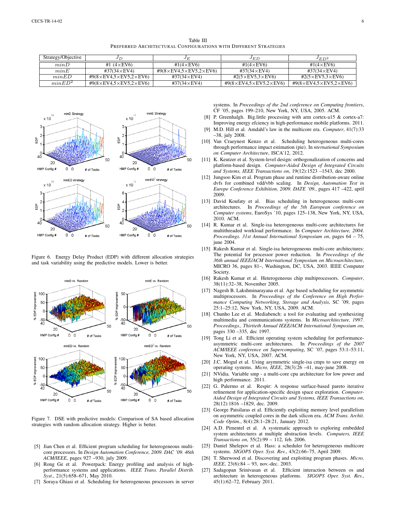Table III PREFERRED ARCHITECTURAL CONFIGURATIONS WITH DIFFERENT STRATEGIES

<span id="page-6-25"></span>

| Strategy/Objective | JΕ                                               | JE                                               | JED                                             | $JED^2$                                          |
|--------------------|--------------------------------------------------|--------------------------------------------------|-------------------------------------------------|--------------------------------------------------|
| minD               | #1 $(4 \times$ EV6)                              | #1 $(4\times$ EV6)                               | #1(4 $\times$ EV6)                              | #1(4 $\times$ EV6)                               |
| minE               | #37(34 $\times$ EV4)                             | #9 $(8\times$ EV4,5 $\times$ EV5,2 $\times$ EV6) | #37(34 $\times$ EV4)                            | #37(34 $\times$ EV4)                             |
| minED              | #9 $(8\times$ EV4,5 $\times$ EV5,2 $\times$ EV6) | #37(34 $\times$ EV4)                             | $\text{\#2}(5\times$ EV5,3 $\times$ EV6)        | #2 $(5\times$ EV5,3 $\times$ EV6)                |
| minED <sup>2</sup> | #9 $(8\times$ EV4,5 $\times$ EV5,2 $\times$ EV6) | #37(34 $\times$ EV4)                             | $#9(8\times$ EV4,5 $\times$ EV5,2 $\times$ EV6) | #9 $(8\times$ EV4,5 $\times$ EV5,2 $\times$ EV6) |



<span id="page-6-23"></span>Figure 6. Energy Delay Product (EDP) with different allocation strategies and task variability using the predictive models. Lower is better.



<span id="page-6-24"></span>Figure 7. DSE with predictive models: Comparison of SA based allocation strategies with random allocation strategy. Higher is better.

- <span id="page-6-12"></span>[5] Jian Chen et al. Efficient program scheduling for heterogeneous multicore processors. In *Design Automation Conference, 2009. DAC '09. 46th ACM/IEEE*, pages 927 –930, july 2009.
- <span id="page-6-20"></span>[6] Rong Ge et al. Powerpack: Energy profiling and analysis of highperformance systems and applications. *IEEE Trans. Parallel Distrib. Syst.*, 21(5):658–671, May 2010.
- <span id="page-6-11"></span>[7] Soraya Ghiasi et al. Scheduling for heterogeneous processors in server

systems. In *Proceedings of the 2nd conference on Computing frontiers*, CF '05, pages 199–210, New York, NY, USA, 2005. ACM.

- <span id="page-6-13"></span>[8] P. Greenhalgh. Big.little processing with arm cortex-a15 & cortex-a7: Improving energy efciency in high-performance mobile platforms. 2011.
- <span id="page-6-2"></span>[9] M.D. Hill et al. Amdahl's law in the multicore era. *Computer*, 41(7):33 –38, july 2008.
- <span id="page-6-7"></span>[10] Van Craeynest Kenzo et al. Scheduling heterogeneous multi-cores through performance impact estimation (pie). In *nternational Symposium on Computer Architecture*, ISCA'12, 2012.
- <span id="page-6-17"></span>[11] K. Keutzer et al. System-level design: orthogonalization of concerns and platform-based design. *Computer-Aided Design of Integrated Circuits and Systems, IEEE Transactions on*, 19(12):1523 –1543, dec 2000.
- <span id="page-6-21"></span>[12] Jungsoo Kim et al. Program phase and runtime distribution-aware online dvfs for combined vdd/vbb scaling. In *Design, Automation Test in Europe Conference Exhibition, 2009. DATE '09.*, pages 417 –422, april 2009.
- <span id="page-6-10"></span>[13] David Koufaty et al. Bias scheduling in heterogeneous multi-core architectures. In *Proceedings of the 5th European conference on Computer systems*, EuroSys '10, pages 125–138, New York, NY, USA, 2010. ACM.
- <span id="page-6-1"></span>[14] R. Kumar et al. Single-isa heterogeneous multi-core architectures for multithreaded workload performance. In *Computer Architecture, 2004. Proceedings. 31st Annual International Symposium on*, pages 64 – 75, june 2004
- <span id="page-6-5"></span>[15] Rakesh Kumar et al. Single-isa heterogeneous multi-core architectures: The potential for processor power reduction. In *Proceedings of the 36th annual IEEE/ACM International Symposium on Microarchitecture*, MICRO 36, pages 81–, Washington, DC, USA, 2003. IEEE Computer Society.
- <span id="page-6-0"></span>[16] Rakesh Kumar et al. Heterogeneous chip multiprocessors. *Computer*, 38(11):32–38, November 2005.
- <span id="page-6-6"></span>[17] Nagesh B. Lakshminarayana et al. Age based scheduling for asymmetric multiprocessors. In *Proceedings of the Conference on High Performance Computing Networking, Storage and Analysis*, SC '09, pages 25:1–25:12, New York, NY, USA, 2009. ACM.
- <span id="page-6-22"></span>[18] Chunho Lee et al. Mediabench: a tool for evaluating and synthesizing multimedia and communications systems. In *Microarchitecture, 1997. Proceedings., Thirtieth Annual IEEE/ACM International Symposium on*, pages 330 –335, dec 1997.
- <span id="page-6-9"></span>[19] Tong Li et al. Efficient operating system scheduling for performanceasymmetric multi-core architectures. In *Proceedings of the 2007 ACM/IEEE conference on Supercomputing*, SC '07, pages 53:1–53:11, New York, NY, USA, 2007. ACM.
- <span id="page-6-8"></span>[20] J.C. Mogul et al. Using asymmetric single-isa cmps to save energy on operating systems. *Micro, IEEE*, 28(3):26 –41, may-june 2008.
- <span id="page-6-14"></span>[21] NVidia. Variable smp - a multi-core cpu architecture for low power and high performance. 2011.
- <span id="page-6-19"></span>[22] G. Palermo et al. Respir: A response surface-based pareto iterative refinement for application-specific design space exploration. *Computer-Aided Design of Integrated Circuits and Systems, IEEE Transactions on*, 28(12):1816 –1829, dec. 2009.
- <span id="page-6-16"></span>[23] George Patsilaras et al. Efficiently exploiting memory level parallelism on asymmetric coupled cores in the dark silicon era. *ACM Trans. Archit. Code Optim.*, 8(4):28:1–28:21, January 2012.
- <span id="page-6-18"></span>[24] A.D. Pimentel et al. A systematic approach to exploring embedded system architectures at multiple abstraction levels. *Computers, IEEE Transactions on*, 55(2):99 – 112, feb. 2006.
- <span id="page-6-4"></span>[25] Daniel Shelepov et al. Hass: a scheduler for heterogeneous multicore systems. *SIGOPS Oper. Syst. Rev.*, 43(2):66–75, April 2009.
- <span id="page-6-3"></span>[26] T. Sherwood et al. Discovering and exploiting program phases. *Micro, IEEE*, 23(6):84 – 93, nov.-dec. 2003.
- <span id="page-6-15"></span>[27] Sadagopan Srinivasan et al. Efficient interaction between os and architecture in heterogeneous platforms. *SIGOPS Oper. Syst. Rev.*, 45(1):62–72, February 2011.